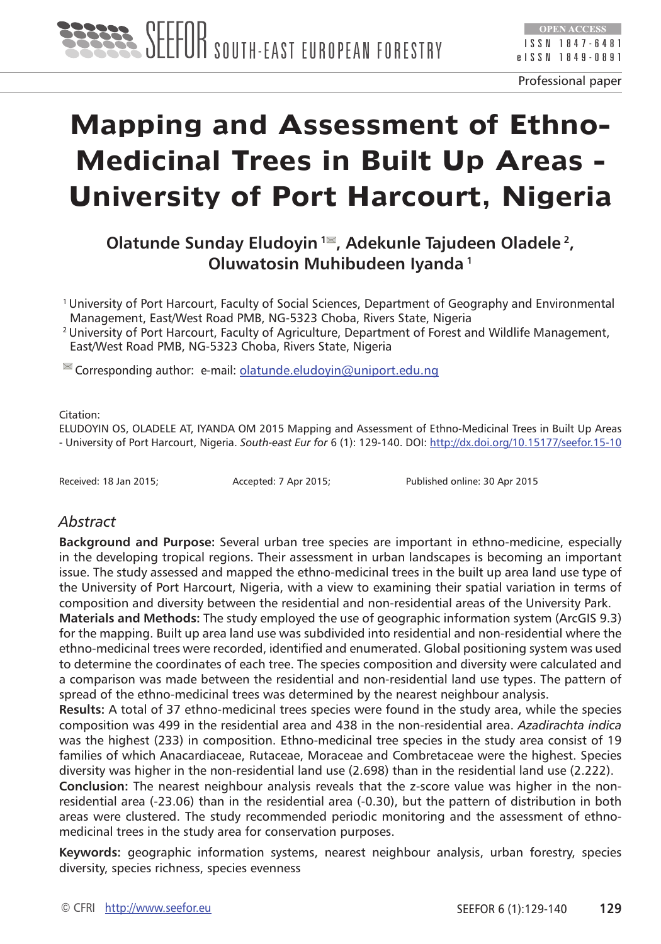

# **Mapping and Assessment of Ethno-Medicinal Trees in Built Up Areas - University of Port Harcourt, Nigeria**

**Olatunde Sunday Eludoyin <sup>1</sup><sup>■</sup>, Adekunle Tajudeen Oladele<sup>2</sup>, Oluwatosin Muhibudeen Iyanda 1**

1 University of Port Harcourt, Faculty of Social Sciences, Department of Geography and Environmental Management, East/West Road PMB, NG-5323 Choba, Rivers State, Nigeria

<sup>2</sup> University of Port Harcourt, Faculty of Agriculture, Department of Forest and Wildlife Management, East/West Road PMB, NG-5323 Choba, Rivers State, Nigeria

<sup>■</sup> Corresponding author: e-mail: [olatunde.eludoyin@uniport.edu.ng](mailto:olatunde.eludoyin@uniport.edu.ng)

#### Citation:

ELUDOYIN OS, OLADELE AT, IYANDA OM 2015 Mapping and Assessment of Ethno-Medicinal Trees in Built Up Areas - University of Port Harcourt, Nigeria. *South-east Eur for* 6 (1): 129-140. DOI: <http://dx.doi.org/10.15177/seefor.15-10>

Received: 18 Jan 2015; Accepted: 7 Apr 2015; Published online: 30 Apr 2015

#### *Abstract*

**Background and Purpose:** Several urban tree species are important in ethno-medicine, especially in the developing tropical regions. Their assessment in urban landscapes is becoming an important issue. The study assessed and mapped the ethno-medicinal trees in the built up area land use type of the University of Port Harcourt, Nigeria, with a view to examining their spatial variation in terms of composition and diversity between the residential and non-residential areas of the University Park.

**Materials and Methods:** The study employed the use of geographic information system (ArcGIS 9.3) for the mapping. Built up area land use was subdivided into residential and non-residential where the ethno-medicinal trees were recorded, identified and enumerated. Global positioning system was used to determine the coordinates of each tree. The species composition and diversity were calculated and a comparison was made between the residential and non-residential land use types. The pattern of spread of the ethno-medicinal trees was determined by the nearest neighbour analysis.

**Results:** A total of 37 ethno-medicinal trees species were found in the study area, while the species composition was 499 in the residential area and 438 in the non-residential area. *Azadirachta indica*  was the highest (233) in composition. Ethno-medicinal tree species in the study area consist of 19 families of which Anacardiaceae, Rutaceae, Moraceae and Combretaceae were the highest. Species diversity was higher in the non-residential land use (2.698) than in the residential land use (2.222).

**Conclusion:** The nearest neighbour analysis reveals that the z-score value was higher in the nonresidential area (-23.06) than in the residential area (-0.30), but the pattern of distribution in both areas were clustered. The study recommended periodic monitoring and the assessment of ethnomedicinal trees in the study area for conservation purposes.

**Keywords:** geographic information systems, nearest neighbour analysis, urban forestry, species diversity, species richness, species evenness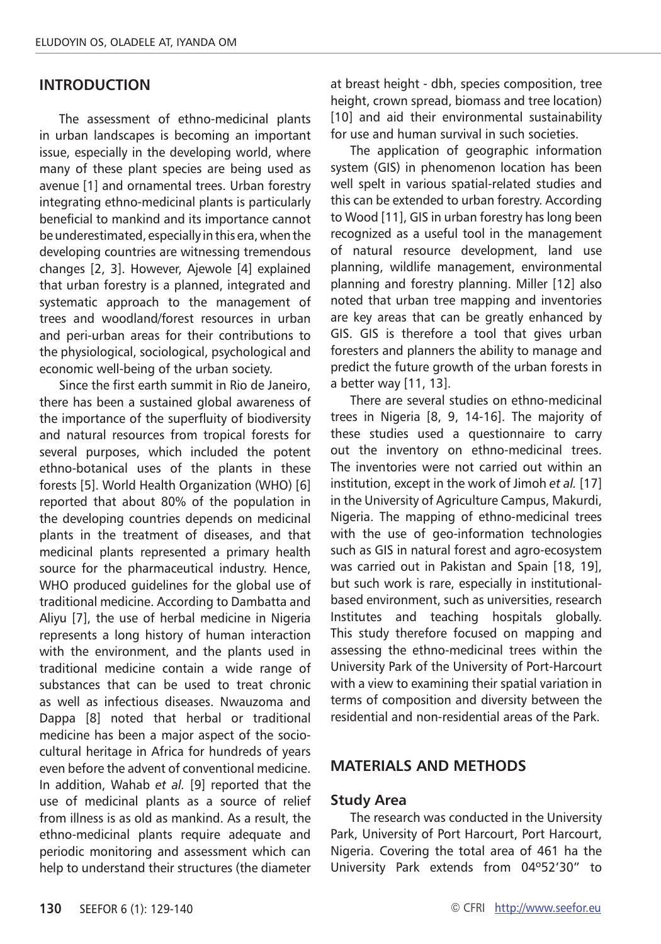#### **INTRODUCTION**

The assessment of ethno-medicinal plants in urban landscapes is becoming an important issue, especially in the developing world, where many of these plant species are being used as avenue [1] and ornamental trees. Urban forestry integrating ethno-medicinal plants is particularly beneficial to mankind and its importance cannot be underestimated, especially in this era, when the developing countries are witnessing tremendous changes [2, 3]. However, Ajewole [4] explained that urban forestry is a planned, integrated and systematic approach to the management of trees and woodland/forest resources in urban and peri-urban areas for their contributions to the physiological, sociological, psychological and economic well-being of the urban society.

Since the first earth summit in Rio de Janeiro, there has been a sustained global awareness of the importance of the superfluity of biodiversity and natural resources from tropical forests for several purposes, which included the potent ethno-botanical uses of the plants in these forests [5]. World Health Organization (WHO) [6] reported that about 80% of the population in the developing countries depends on medicinal plants in the treatment of diseases, and that medicinal plants represented a primary health source for the pharmaceutical industry. Hence, WHO produced guidelines for the global use of traditional medicine. According to Dambatta and Aliyu [7], the use of herbal medicine in Nigeria represents a long history of human interaction with the environment, and the plants used in traditional medicine contain a wide range of substances that can be used to treat chronic as well as infectious diseases. Nwauzoma and Dappa [8] noted that herbal or traditional medicine has been a major aspect of the sociocultural heritage in Africa for hundreds of years even before the advent of conventional medicine. In addition, Wahab *et al.* [9] reported that the use of medicinal plants as a source of relief from illness is as old as mankind. As a result, the ethno-medicinal plants require adequate and periodic monitoring and assessment which can help to understand their structures (the diameter

at breast height - dbh, species composition, tree height, crown spread, biomass and tree location) [10] and aid their environmental sustainability for use and human survival in such societies.

The application of geographic information system (GIS) in phenomenon location has been well spelt in various spatial-related studies and this can be extended to urban forestry. According to Wood [11], GIS in urban forestry has long been recognized as a useful tool in the management of natural resource development, land use planning, wildlife management, environmental planning and forestry planning. Miller [12] also noted that urban tree mapping and inventories are key areas that can be greatly enhanced by GIS. GIS is therefore a tool that gives urban foresters and planners the ability to manage and predict the future growth of the urban forests in a better way [11, 13].

There are several studies on ethno-medicinal trees in Nigeria [8, 9, 14-16]. The majority of these studies used a questionnaire to carry out the inventory on ethno-medicinal trees. The inventories were not carried out within an institution, except in the work of Jimoh *et al.* [17] in the University of Agriculture Campus, Makurdi, Nigeria. The mapping of ethno-medicinal trees with the use of geo-information technologies such as GIS in natural forest and agro-ecosystem was carried out in Pakistan and Spain [18, 19], but such work is rare, especially in institutionalbased environment, such as universities, research Institutes and teaching hospitals globally. This study therefore focused on mapping and assessing the ethno-medicinal trees within the University Park of the University of Port-Harcourt with a view to examining their spatial variation in terms of composition and diversity between the residential and non-residential areas of the Park.

#### **MATERIALS AND METHODS**

#### **Study Area**

The research was conducted in the University Park, University of Port Harcourt, Port Harcourt, Nigeria. Covering the total area of 461 ha the University Park extends from 04º52'30" to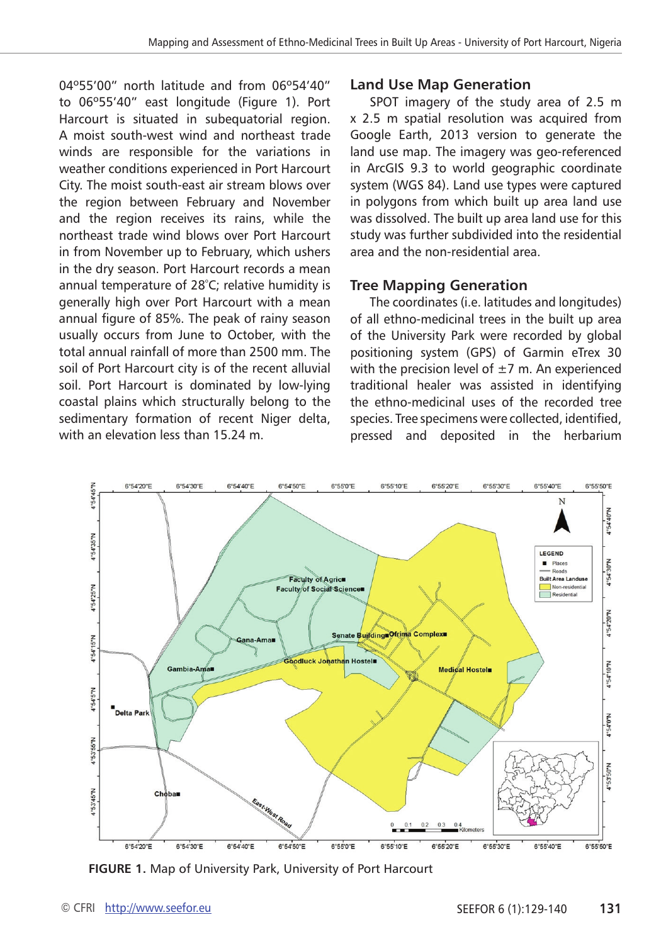04º55'00" north latitude and from 06º54'40" to 06º55'40" east longitude (Figure 1). Port Harcourt is situated in subequatorial region. A moist south-west wind and northeast trade winds are responsible for the variations in weather conditions experienced in Port Harcourt City. The moist south-east air stream blows over the region between February and November and the region receives its rains, while the northeast trade wind blows over Port Harcourt in from November up to February, which ushers in the dry season. Port Harcourt records a mean annual temperature of 28º C; relative humidity is generally high over Port Harcourt with a mean annual figure of 85%. The peak of rainy season usually occurs from June to October, with the total annual rainfall of more than 2500 mm. The soil of Port Harcourt city is of the recent alluvial soil. Port Harcourt is dominated by low-lying coastal plains which structurally belong to the sedimentary formation of recent Niger delta, with an elevation less than 15.24 m.

#### **Land Use Map Generation**

SPOT imagery of the study area of 2.5 m x 2.5 m spatial resolution was acquired from Google Earth, 2013 version to generate the land use map. The imagery was geo-referenced in ArcGIS 9.3 to world geographic coordinate system (WGS 84). Land use types were captured in polygons from which built up area land use was dissolved. The built up area land use for this study was further subdivided into the residential area and the non-residential area.

## **Tree Mapping Generation**

The coordinates (i.e. latitudes and longitudes) of all ethno-medicinal trees in the built up area of the University Park were recorded by global positioning system (GPS) of Garmin eTrex 30 with the precision level of  $\pm$ 7 m. An experienced traditional healer was assisted in identifying the ethno-medicinal uses of the recorded tree species. Tree specimens were collected, identified, pressed and deposited in the herbarium



**FIGURE 1.** Map of University Park, University of Port Harcourt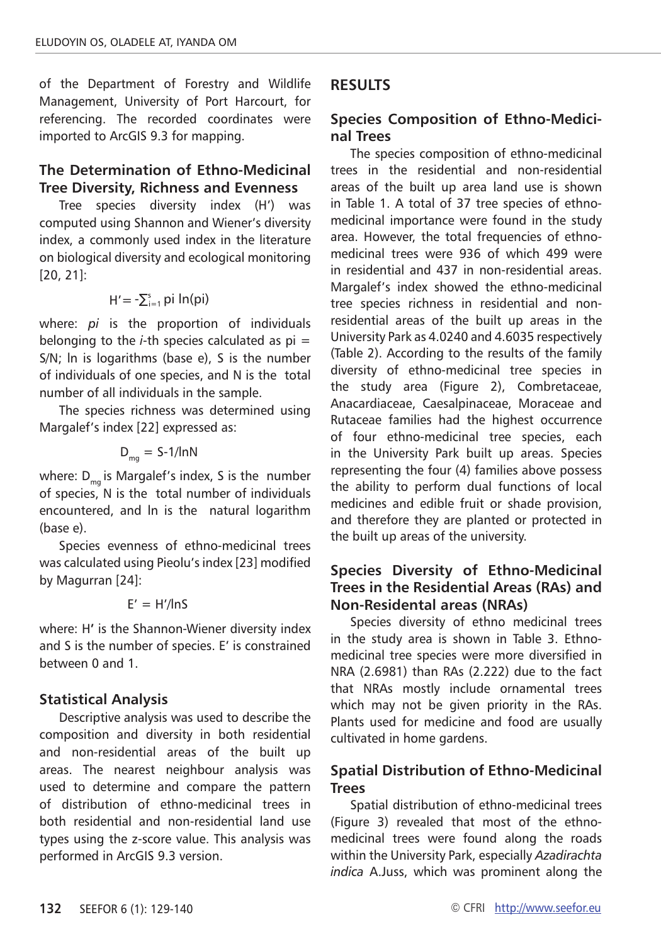of the Department of Forestry and Wildlife Management, University of Port Harcourt, for referencing. The recorded coordinates were imported to ArcGIS 9.3 for mapping.

## **The Determination of Ethno-Medicinal Tree Diversity, Richness and Evenness**

Tree species diversity index (H') was computed using Shannon and Wiener's diversity index, a commonly used index in the literature on biological diversity and ecological monitoring [20, 21]:

$$
H' = -\sum_{i=1}^{s} pi \, ln(pi)
$$

where: *pi* is the proportion of individuals belonging to the  $i$ -th species calculated as  $pi =$ S/N; ln is logarithms (base e), S is the number of individuals of one species, and N is the total number of all individuals in the sample.

The species richness was determined using Margalef's index [22] expressed as:

$$
D_{mg} = S-1/lnN
$$

where:  $D_{ma}$  is Margalef's index, S is the number of species, N is the total number of individuals encountered, and ln is the natural logarithm (base e).

Species evenness of ethno-medicinal trees was calculated using Pieolu's index [23] modified by Magurran [24]:

$$
E' = H'/\ln S
$$

where: H**'** is the Shannon-Wiener diversity index and S is the number of species. E' is constrained between 0 and 1.

## **Statistical Analysis**

Descriptive analysis was used to describe the composition and diversity in both residential and non-residential areas of the built up areas. The nearest neighbour analysis was used to determine and compare the pattern of distribution of ethno-medicinal trees in both residential and non-residential land use types using the z-score value. This analysis was performed in ArcGIS 9.3 version.

## **RESULTS**

## **Species Composition of Ethno-Medicinal Trees**

The species composition of ethno-medicinal trees in the residential and non-residential areas of the built up area land use is shown in Table 1. A total of 37 tree species of ethnomedicinal importance were found in the study area. However, the total frequencies of ethnomedicinal trees were 936 of which 499 were in residential and 437 in non-residential areas. Margalef's index showed the ethno-medicinal tree species richness in residential and nonresidential areas of the built up areas in the University Park as 4.0240 and 4.6035 respectively (Table 2). According to the results of the family diversity of ethno-medicinal tree species in the study area (Figure 2), Combretaceae, Anacardiaceae, Caesalpinaceae, Moraceae and Rutaceae families had the highest occurrence of four ethno-medicinal tree species, each in the University Park built up areas. Species representing the four (4) families above possess the ability to perform dual functions of local medicines and edible fruit or shade provision, and therefore they are planted or protected in the built up areas of the university.

## **Species Diversity of Ethno-Medicinal Trees in the Residential Areas (RAs) and Non-Residental areas (NRAs)**

Species diversity of ethno medicinal trees in the study area is shown in Table 3. Ethnomedicinal tree species were more diversified in NRA (2.6981) than RAs (2.222) due to the fact that NRAs mostly include ornamental trees which may not be given priority in the RAs. Plants used for medicine and food are usually cultivated in home gardens.

## **Spatial Distribution of Ethno-Medicinal Trees**

Spatial distribution of ethno-medicinal trees (Figure 3) revealed that most of the ethnomedicinal trees were found along the roads within the University Park, especially *Azadirachta indica* A.Juss, which was prominent along the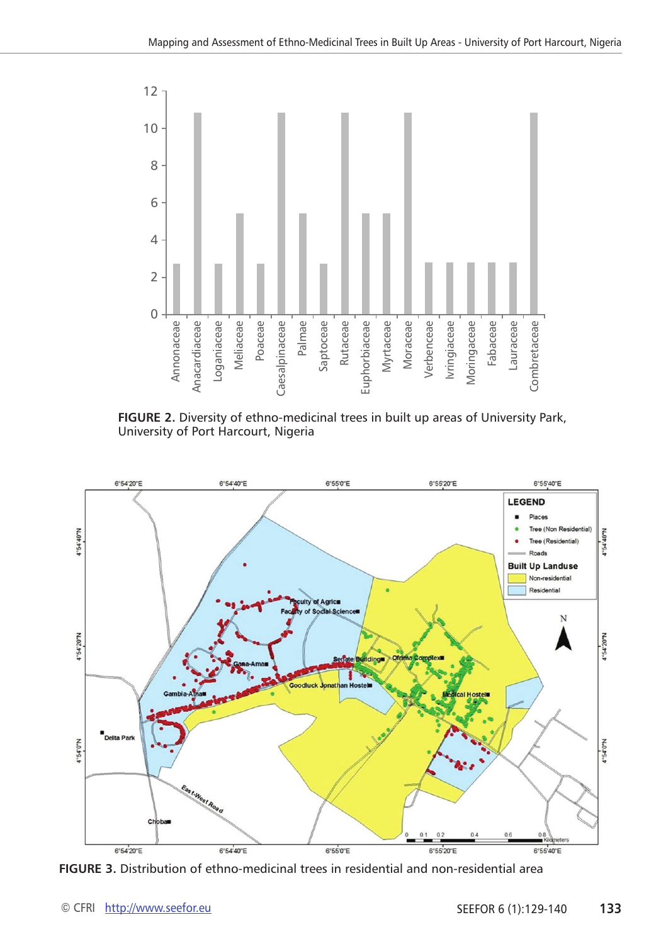

**FIGURE 2.** Diversity of ethno-medicinal trees in built up areas of University Park, University of Port Harcourt, Nigeria



**FIGURE 3.** Distribution of ethno-medicinal trees in residential and non-residential area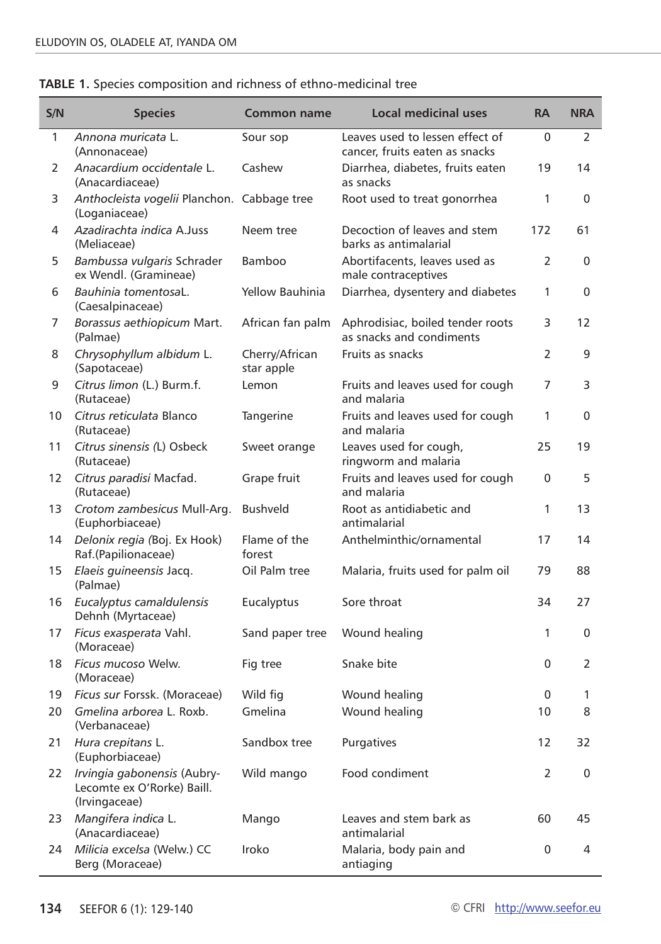Ī

| S/N | <b>Species</b>                                                             | <b>Common name</b>           | <b>Local medicinal uses</b>                                       | <b>RA</b> | <b>NRA</b>   |
|-----|----------------------------------------------------------------------------|------------------------------|-------------------------------------------------------------------|-----------|--------------|
| 1   | Annona muricata L.<br>(Annonaceae)                                         | Sour sop                     | Leaves used to lessen effect of<br>cancer, fruits eaten as snacks | $\Omega$  | 2            |
| 2   | Anacardium occidentale L.<br>(Anacardiaceae)                               | Cashew                       | Diarrhea, diabetes, fruits eaten<br>as snacks                     | 19        | 14           |
| 3   | Anthocleista vogelii Planchon. Cabbage tree<br>(Loganiaceae)               |                              | Root used to treat gonorrhea                                      | 1         | $\mathbf{0}$ |
| 4   | Azadirachta indica A.Juss<br>(Meliaceae)                                   | Neem tree                    | Decoction of leaves and stem<br>barks as antimalarial             | 172       | 61           |
| 5.  | Bambussa vulgaris Schrader<br>ex Wendl. (Gramineae)                        | <b>Bamboo</b>                | Abortifacents, leaves used as<br>male contraceptives              | 2         | 0            |
| 6   | Bauhinia tomentosaL.<br>(Caesalpinaceae)                                   | Yellow Bauhinia              | Diarrhea, dysentery and diabetes                                  | 1         | 0            |
| 7   | Borassus aethiopicum Mart.<br>(Palmae)                                     | African fan palm             | Aphrodisiac, boiled tender roots<br>as snacks and condiments      | 3         | 12           |
| 8   | Chrysophyllum albidum L.<br>(Sapotaceae)                                   | Cherry/African<br>star apple | Fruits as snacks                                                  | 2         | 9            |
| 9   | Citrus limon (L.) Burm.f.<br>(Rutaceae)                                    | Lemon                        | Fruits and leaves used for cough<br>and malaria                   | 7         | 3            |
| 10  | Citrus reticulata Blanco<br>(Rutaceae)                                     | Tangerine                    | Fruits and leaves used for cough<br>and malaria                   | 1         | 0            |
| 11  | Citrus sinensis (L) Osbeck<br>(Rutaceae)                                   | Sweet orange                 | Leaves used for cough,<br>ringworm and malaria                    | 25        | 19           |
| 12  | Citrus paradisi Macfad.<br>(Rutaceae)                                      | Grape fruit                  | Fruits and leaves used for cough<br>and malaria                   | 0         | 5            |
| 13  | Crotom zambesicus Mull-Arg.<br>(Euphorbiaceae)                             | <b>Bushveld</b>              | Root as antidiabetic and<br>antimalarial                          | 1         | 13           |
| 14  | Delonix regia (Boj. Ex Hook)<br>Raf.(Papilionaceae)                        | Flame of the<br>forest       | Anthelminthic/ornamental                                          | 17        | 14           |
| 15  | Elaeis guineensis Jacq.<br>(Palmae)                                        | Oil Palm tree                | Malaria, fruits used for palm oil                                 | 79        | 88           |
| 16  | Eucalyptus camaldulensis<br>Dehnh (Myrtaceae)                              | Eucalyptus                   | Sore throat                                                       | 34        | 27           |
| 17  | Ficus exasperata Vahl.<br>(Moraceae)                                       | Sand paper tree              | Wound healing                                                     | 1         | 0            |
| 18  | Ficus mucoso Welw.<br>(Moraceae)                                           | Fig tree                     | Snake bite                                                        | 0         | 2            |
| 19  | Ficus sur Forssk. (Moraceae)                                               | Wild fig                     | Wound healing                                                     | 0         | 1            |
| 20  | Gmelina arborea L. Roxb.<br>(Verbanaceae)                                  | Gmelina                      | Wound healing                                                     | 10        | 8            |
| 21  | Hura crepitans L.<br>(Euphorbiaceae)                                       | Sandbox tree                 | Purgatives                                                        | 12        | 32           |
| 22  | Irvingia gabonensis (Aubry-<br>Lecomte ex O'Rorke) Baill.<br>(Irvingaceae) | Wild mango                   | Food condiment                                                    | 2         | 0            |
| 23  | Mangifera indica L.<br>(Anacardiaceae)                                     | Mango                        | Leaves and stem bark as<br>antimalarial                           | 60        | 45           |
| 24  | Milicia excelsa (Welw.) CC<br>Berg (Moraceae)                              | Iroko                        | Malaria, body pain and<br>antiaging                               | 0         | 4            |

|  |  |  |  |  |  | TABLE 1. Species composition and richness of ethno-medicinal tree |  |
|--|--|--|--|--|--|-------------------------------------------------------------------|--|
|--|--|--|--|--|--|-------------------------------------------------------------------|--|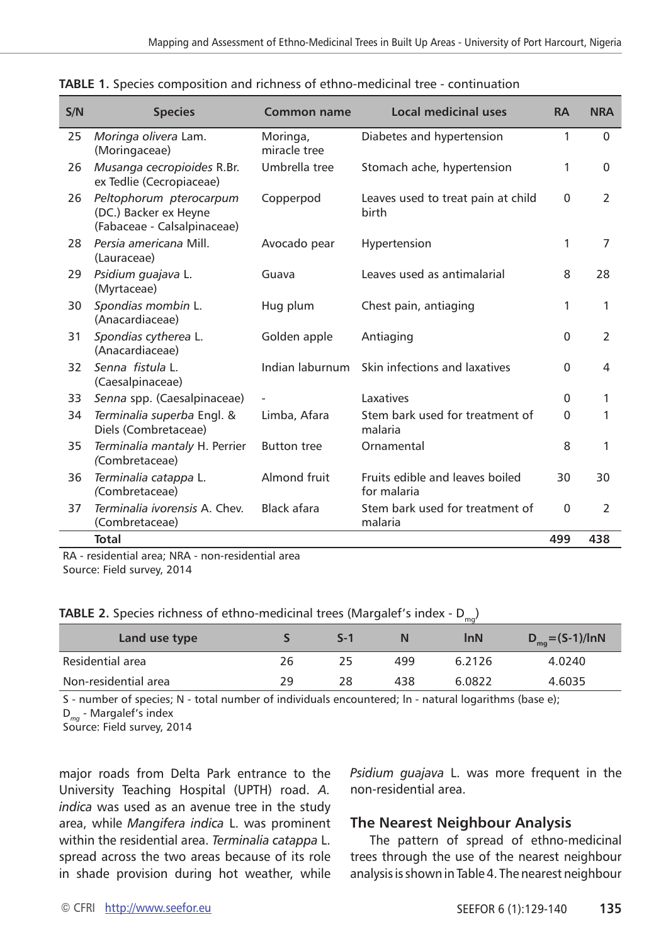| S/N | <b>Species</b>                                                                  | Common name              | <b>Local medicinal uses</b>                    | <b>RA</b> | <b>NRA</b>     |
|-----|---------------------------------------------------------------------------------|--------------------------|------------------------------------------------|-----------|----------------|
| 25  | Moringa olivera Lam.<br>(Moringaceae)                                           | Moringa,<br>miracle tree | Diabetes and hypertension                      | 1         | $\Omega$       |
| 26  | Musanga cecropioides R.Br.<br>ex Tedlie (Cecropiaceae)                          | Umbrella tree            | Stomach ache, hypertension                     | 1         | 0              |
| 26  | Peltophorum pterocarpum<br>(DC.) Backer ex Heyne<br>(Fabaceae - Calsalpinaceae) | Copperpod                | Leaves used to treat pain at child<br>birth    | $\Omega$  | $\mathcal{P}$  |
| 28  | Persia americana Mill<br>(Lauraceae)                                            | Avocado pear             | Hypertension                                   | 1         | $\overline{7}$ |
| 29  | Psidium guajava L.<br>(Myrtaceae)                                               | Guava                    | Leaves used as antimalarial                    | 8         | 28             |
| 30  | Spondias mombin L.<br>(Anacardiaceae)                                           | Hug plum                 | Chest pain, antiaging                          | 1         | 1              |
| 31  | Spondias cytherea L.<br>(Anacardiaceae)                                         | Golden apple             | Antiaging                                      | $\Omega$  | 2              |
| 32  | Senna fistula L.<br>(Caesalpinaceae)                                            | Indian laburnum          | Skin infections and laxatives                  | $\Omega$  | 4              |
| 33  | Senna spp. (Caesalpinaceae)                                                     |                          | Laxatives                                      | $\Omega$  | 1              |
| 34  | Terminalia superba Engl. &<br>Diels (Combretaceae)                              | Limba, Afara             | Stem bark used for treatment of<br>malaria     | $\Omega$  | 1              |
| 35  | Terminalia mantaly H. Perrier<br>(Combretaceae)                                 | <b>Button tree</b>       | Ornamental                                     | 8         | 1              |
| 36  | Terminalia catappa L.<br>(Combretaceae)                                         | Almond fruit             | Fruits edible and leaves boiled<br>for malaria | 30        | 30             |
| 37  | Terminalia ivorensis A. Chev.<br>(Combretaceae)                                 | Black afara              | Stem bark used for treatment of<br>malaria     | 0         | 2              |
|     | <b>Total</b>                                                                    |                          |                                                | 499       | 438            |

|  |  |  |  |  |  |  | <b>TABLE 1.</b> Species composition and richness of ethno-medicinal tree - continuation |
|--|--|--|--|--|--|--|-----------------------------------------------------------------------------------------|
|--|--|--|--|--|--|--|-----------------------------------------------------------------------------------------|

RA - residential area; NRA - non-residential area

Source: Field survey, 2014

**TABLE 2.** Species richness of ethno-medicinal trees (Margalef's index - D<sub>mo</sub>)

| Land use type        |    | $S-1$ | N   | <b>InN</b> | $D_{mq} = (S-1)/lnN$ |
|----------------------|----|-------|-----|------------|----------------------|
| Residential area     | 26 | 25    | 499 | 6.2126     | 4.0240               |
| Non-residential area | 29 | 28    | 438 | 6.0822     | 4.6035               |

S - number of species; N - total number of individuals encountered; ln - natural logarithms (base e);

D*mg* - Margalef's index

Source: Field survey, 2014

major roads from Delta Park entrance to the University Teaching Hospital (UPTH) road. *A. indica* was used as an avenue tree in the study area, while *Mangifera indica* L. was prominent within the residential area. *Terminalia catappa* L. spread across the two areas because of its role in shade provision during hot weather, while *Psidium guajava* L. was more frequent in the non-residential area.

#### **The Nearest Neighbour Analysis**

The pattern of spread of ethno-medicinal trees through the use of the nearest neighbour analysis is shown in Table 4. The nearest neighbour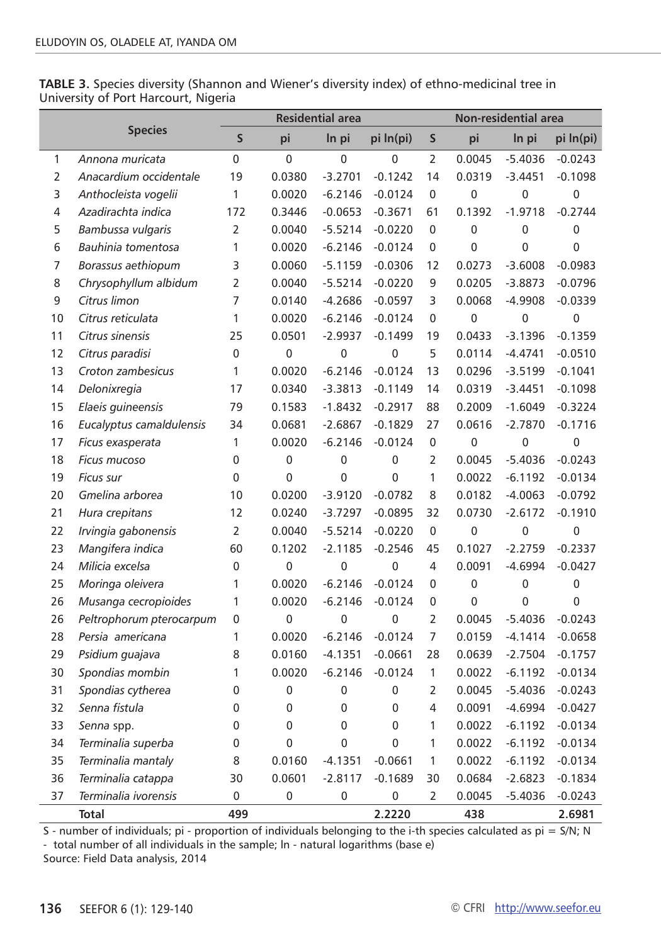**TABLE 3.** Species diversity (Shannon and Wiener's diversity index) of ethno-medicinal tree in University of Port Harcourt, Nigeria

|                |                          |                | <b>Residential area</b> |                |             |                | Non-residential area |             |                |  |
|----------------|--------------------------|----------------|-------------------------|----------------|-------------|----------------|----------------------|-------------|----------------|--|
|                | <b>Species</b>           | S              | pi                      | In pi          | pi ln(pi)   | S              | pi                   | In pi       | pi ln(pi)      |  |
| 1              | Annona muricata          | 0              | $\mathbf 0$             | 0              | $\mathbf 0$ | $\overline{2}$ | 0.0045               | $-5.4036$   | $-0.0243$      |  |
| $\overline{2}$ | Anacardium occidentale   | 19             | 0.0380                  | $-3.2701$      | $-0.1242$   | 14             | 0.0319               | $-3.4451$   | $-0.1098$      |  |
| 3              | Anthocleista vogelii     | 1              | 0.0020                  | $-6.2146$      | $-0.0124$   | 0              | 0                    | 0           | $\mathbf 0$    |  |
| 4              | Azadirachta indica       | 172            | 0.3446                  | $-0.0653$      | $-0.3671$   | 61             | 0.1392               | $-1.9718$   | $-0.2744$      |  |
| 5              | Bambussa vulgaris        | 2              | 0.0040                  | $-5.5214$      | $-0.0220$   | 0              | $\mathbf 0$          | 0           | $\pmb{0}$      |  |
| 6              | Bauhinia tomentosa       | 1              | 0.0020                  | $-6.2146$      | $-0.0124$   | 0              | $\overline{0}$       | 0           | 0              |  |
| 7              | Borassus aethiopum       | 3              | 0.0060                  | $-5.1159$      | $-0.0306$   | 12             | 0.0273               | $-3.6008$   | $-0.0983$      |  |
| 8              | Chrysophyllum albidum    | 2              | 0.0040                  | $-5.5214$      | $-0.0220$   | 9              | 0.0205               | $-3.8873$   | $-0.0796$      |  |
| 9              | Citrus limon             | $\overline{7}$ | 0.0140                  | $-4.2686$      | $-0.0597$   | 3              | 0.0068               | $-4.9908$   | $-0.0339$      |  |
| 10             | Citrus reticulata        | 1              | 0.0020                  | $-6.2146$      | $-0.0124$   | 0              | 0                    | 0           | 0              |  |
| 11             | Citrus sinensis          | 25             | 0.0501                  | $-2.9937$      | $-0.1499$   | 19             | 0.0433               | $-3.1396$   | $-0.1359$      |  |
| 12             | Citrus paradisi          | 0              | 0                       | 0              | 0           | 5              | 0.0114               | $-4.4741$   | $-0.0510$      |  |
| 13             | Croton zambesicus        | 1              | 0.0020                  | $-6.2146$      | $-0.0124$   | 13             | 0.0296               | $-3.5199$   | $-0.1041$      |  |
| 14             | Delonixregia             | 17             | 0.0340                  | $-3.3813$      | $-0.1149$   | 14             | 0.0319               | $-3.4451$   | $-0.1098$      |  |
| 15             | Elaeis guineensis        | 79             | 0.1583                  | $-1.8432$      | $-0.2917$   | 88             | 0.2009               | $-1.6049$   | $-0.3224$      |  |
| 16             | Eucalyptus camaldulensis | 34             | 0.0681                  | $-2.6867$      | $-0.1829$   | 27             | 0.0616               | $-2.7870$   | $-0.1716$      |  |
| 17             | Ficus exasperata         | 1              | 0.0020                  | $-6.2146$      | $-0.0124$   | 0              | 0                    | 0           | $\mathbf 0$    |  |
| 18             | Ficus mucoso             | $\mathbf 0$    | $\mathbf 0$             | 0              | $\mathbf 0$ | $\overline{2}$ | 0.0045               | $-5.4036$   | $-0.0243$      |  |
| 19             | <b>Ficus sur</b>         | 0              | 0                       | $\overline{0}$ | 0           | 1              | 0.0022               | $-6.1192$   | $-0.0134$      |  |
| 20             | Gmelina arborea          | 10             | 0.0200                  | $-3.9120$      | $-0.0782$   | 8              | 0.0182               | $-4.0063$   | $-0.0792$      |  |
| 21             | Hura crepitans           | 12             | 0.0240                  | $-3.7297$      | $-0.0895$   | 32             | 0.0730               | $-2.6172$   | $-0.1910$      |  |
| 22             | Irvingia gabonensis      | 2              | 0.0040                  | $-5.5214$      | $-0.0220$   | 0              | 0                    | 0           | 0              |  |
| 23             | Mangifera indica         | 60             | 0.1202                  | $-2.1185$      | $-0.2546$   | 45             | 0.1027               | $-2.2759$   | $-0.2337$      |  |
| 24             | Milicia excelsa          | 0              | 0                       | 0              | 0           | 4              | 0.0091               | $-4.6994$   | $-0.0427$      |  |
| 25             | Moringa oleivera         | 1              | 0.0020                  | $-6.2146$      | $-0.0124$   | 0              | 0                    | 0           | 0              |  |
| 26             | Musanga cecropioides     | $\mathbf{1}$   | 0.0020                  | $-6.2146$      | $-0.0124$   | 0              | 0                    | $\mathbf 0$ | $\overline{0}$ |  |
| 26             | Peltrophorum pterocarpum | 0              | 0                       | 0              | 0           | $\overline{2}$ | 0.0045               | $-5.4036$   | $-0.0243$      |  |
| 28             | Persia americana         | 1              | 0.0020                  | $-6.2146$      | $-0.0124$   | $\overline{7}$ | 0.0159               | $-4.1414$   | $-0.0658$      |  |
| 29             | Psidium guajava          | 8              | 0.0160                  | $-4.1351$      | $-0.0661$   | 28             | 0.0639               | $-2.7504$   | $-0.1757$      |  |
| 30             | Spondias mombin          | 1              | 0.0020                  | $-6.2146$      | $-0.0124$   | 1              | 0.0022               | $-6.1192$   | $-0.0134$      |  |
| 31             | Spondias cytherea        | 0              | 0                       | 0              | 0           | $\overline{2}$ | 0.0045               | $-5.4036$   | $-0.0243$      |  |
| 32             | Senna fistula            | 0              | 0                       | 0              | $\mathbf 0$ | 4              | 0.0091               | $-4.6994$   | $-0.0427$      |  |
| 33             | Senna spp.               | 0              | 0                       | 0              | 0           | $\mathbf{1}$   | 0.0022               | $-6.1192$   | $-0.0134$      |  |
| 34             | Terminalia superba       | 0              | 0                       | 0              | 0           | $\mathbf{1}$   | 0.0022               | $-6.1192$   | $-0.0134$      |  |
| 35             | Terminalia mantaly       | 8              | 0.0160                  | $-4.1351$      | $-0.0661$   | $\mathbf{1}$   | 0.0022               | $-6.1192$   | $-0.0134$      |  |
| 36             | Terminalia catappa       | 30             | 0.0601                  | $-2.8117$      | $-0.1689$   | 30             | 0.0684               | $-2.6823$   | $-0.1834$      |  |
| 37             | Terminalia ivorensis     | 0              | 0                       | 0              | 0           | 2              | 0.0045               | $-5.4036$   | $-0.0243$      |  |
|                | <b>Total</b>             | 499            |                         |                | 2.2220      |                | 438                  |             | 2.6981         |  |

S - number of individuals; pi - proportion of individuals belonging to the i-th species calculated as  $pi = S/N$ ; N - total number of all individuals in the sample; ln - natural logarithms (base e)

Source: Field Data analysis, 2014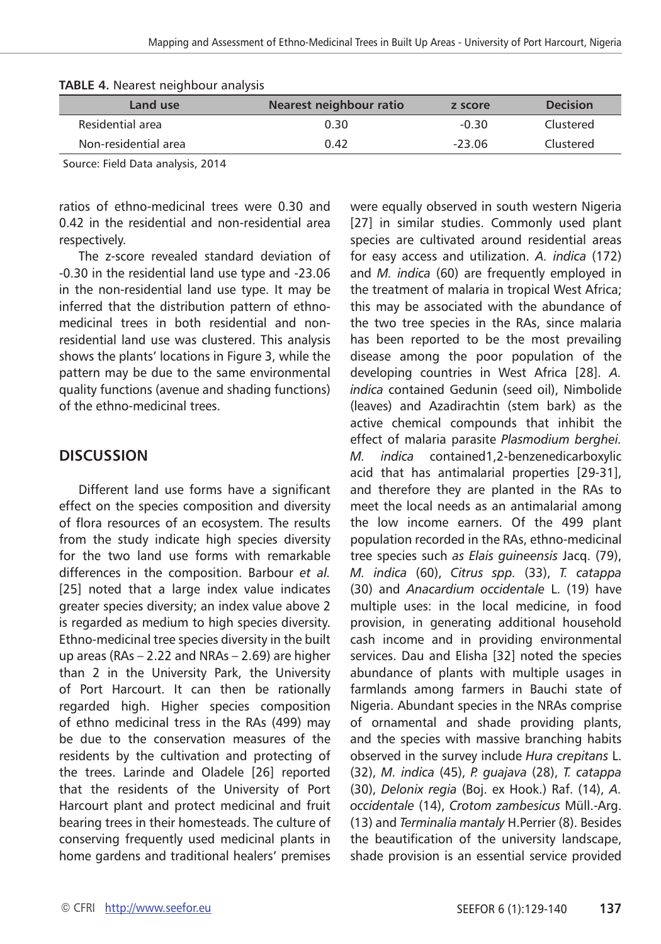| Land use             | Nearest neighbour ratio | z score  | <b>Decision</b> |
|----------------------|-------------------------|----------|-----------------|
| Residential area     | 0.30                    | -0.30    | Clustered       |
| Non-residential area | 0.42                    | $-23.06$ | Clustered       |

|  | TABLE 4. Nearest neighbour analysis |  |
|--|-------------------------------------|--|
|  |                                     |  |

Source: Field Data analysis, 2014

ratios of ethno-medicinal trees were 0.30 and 0.42 in the residential and non-residential area respectively.

The z-score revealed standard deviation of -0.30 in the residential land use type and -23.06 in the non-residential land use type. It may be inferred that the distribution pattern of ethnomedicinal trees in both residential and nonresidential land use was clustered. This analysis shows the plants' locations in Figure 3, while the pattern may be due to the same environmental quality functions (avenue and shading functions) of the ethno-medicinal trees.

## **DISCUSSION**

Different land use forms have a significant effect on the species composition and diversity of flora resources of an ecosystem. The results from the study indicate high species diversity for the two land use forms with remarkable differences in the composition. Barbour *et al.*  [25] noted that a large index value indicates greater species diversity; an index value above 2 is regarded as medium to high species diversity. Ethno-medicinal tree species diversity in the built up areas (RAs – 2.22 and NRAs – 2.69) are higher than 2 in the University Park, the University of Port Harcourt. It can then be rationally regarded high. Higher species composition of ethno medicinal tress in the RAs (499) may be due to the conservation measures of the residents by the cultivation and protecting of the trees. Larinde and Oladele [26] reported that the residents of the University of Port Harcourt plant and protect medicinal and fruit bearing trees in their homesteads. The culture of conserving frequently used medicinal plants in home gardens and traditional healers' premises

were equally observed in south western Nigeria [27] in similar studies. Commonly used plant species are cultivated around residential areas for easy access and utilization. *A. indica* (172) and *M. indica* (60) are frequently employed in the treatment of malaria in tropical West Africa; this may be associated with the abundance of the two tree species in the RAs, since malaria has been reported to be the most prevailing disease among the poor population of the developing countries in West Africa [28]. *A. indica* contained Gedunin (seed oil), Nimbolide (leaves) and Azadirachtin (stem bark) as the active chemical compounds that inhibit the effect of malaria parasite *Plasmodium berghei. M. indica* contained1,2-benzenedicarboxylic acid that has antimalarial properties [29-31], and therefore they are planted in the RAs to meet the local needs as an antimalarial among the low income earners. Of the 499 plant population recorded in the RAs, ethno-medicinal tree species such *as Elais guineensis* Jacq. (79), *M. indica* (60), *Citrus spp.* (33), *T. catappa*  (30) and *Anacardium occidentale* L. (19) have multiple uses: in the local medicine, in food provision, in generating additional household cash income and in providing environmental services. Dau and Elisha [32] noted the species abundance of plants with multiple usages in farmlands among farmers in Bauchi state of Nigeria. Abundant species in the NRAs comprise of ornamental and shade providing plants, and the species with massive branching habits observed in the survey include *Hura crepitans* L. (32), *M. indica* (45), *P. guajava* (28), *T. catappa*  (30), *Delonix regia* (Boj. ex Hook.) Raf. (14), *A. occidentale* (14), *Crotom zambesicus* Müll.-Arg. (13) and *Terminalia mantaly* H.Perrier (8). Besides the beautification of the university landscape, shade provision is an essential service provided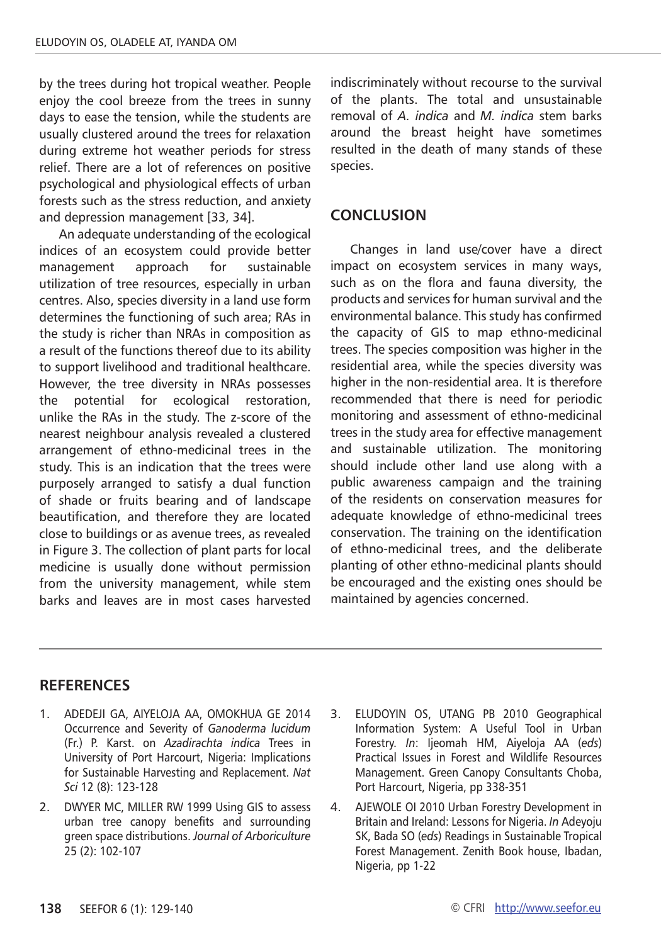by the trees during hot tropical weather. People enjoy the cool breeze from the trees in sunny days to ease the tension, while the students are usually clustered around the trees for relaxation during extreme hot weather periods for stress relief. There are a lot of references on positive psychological and physiological effects of urban forests such as the stress reduction, and anxiety and depression management [33, 34].

An adequate understanding of the ecological indices of an ecosystem could provide better management approach for sustainable utilization of tree resources, especially in urban centres. Also, species diversity in a land use form determines the functioning of such area; RAs in the study is richer than NRAs in composition as a result of the functions thereof due to its ability to support livelihood and traditional healthcare. However, the tree diversity in NRAs possesses the potential for ecological restoration, unlike the RAs in the study. The z-score of the nearest neighbour analysis revealed a clustered arrangement of ethno-medicinal trees in the study. This is an indication that the trees were purposely arranged to satisfy a dual function of shade or fruits bearing and of landscape beautification, and therefore they are located close to buildings or as avenue trees, as revealed in Figure 3. The collection of plant parts for local medicine is usually done without permission from the university management, while stem barks and leaves are in most cases harvested

indiscriminately without recourse to the survival of the plants. The total and unsustainable removal of *A. indica* and *M. indica* stem barks around the breast height have sometimes resulted in the death of many stands of these species.

## **CONCLUSION**

Changes in land use/cover have a direct impact on ecosystem services in many ways, such as on the flora and fauna diversity, the products and services for human survival and the environmental balance. This study has confirmed the capacity of GIS to map ethno-medicinal trees. The species composition was higher in the residential area, while the species diversity was higher in the non-residential area. It is therefore recommended that there is need for periodic monitoring and assessment of ethno-medicinal trees in the study area for effective management and sustainable utilization. The monitoring should include other land use along with a public awareness campaign and the training of the residents on conservation measures for adequate knowledge of ethno-medicinal trees conservation. The training on the identification of ethno-medicinal trees, and the deliberate planting of other ethno-medicinal plants should be encouraged and the existing ones should be maintained by agencies concerned.

## **RefereNces**

- 1. ADEDEJI GA, AIYELOJA AA, OMOKHUA GE 2014 Occurrence and Severity of *Ganoderma lucidum*  (Fr.) P. Karst. on *Azadirachta indica* Trees in University of Port Harcourt, Nigeria: Implications for Sustainable Harvesting and Replacement. *Nat Sci* 12 (8): 123-128
- 2. DWYER MC, MILLER RW 1999 Using GIS to assess urban tree canopy benefits and surrounding green space distributions. *Journal of Arboriculture* 25 (2): 102-107
- 3. ELUDOYIN OS, UTANG PB 2010 Geographical Information System: A Useful Tool in Urban Forestry. *In*: Ijeomah HM, Aiyeloja AA (*eds*) Practical Issues in Forest and Wildlife Resources Management. Green Canopy Consultants Choba, Port Harcourt, Nigeria, pp 338-351
- 4. AJEWOLE OI 2010 Urban Forestry Development in Britain and Ireland: Lessons for Nigeria. *In* Adeyoju SK, Bada SO (*eds*) Readings in Sustainable Tropical Forest Management. Zenith Book house, Ibadan, Nigeria, pp 1-22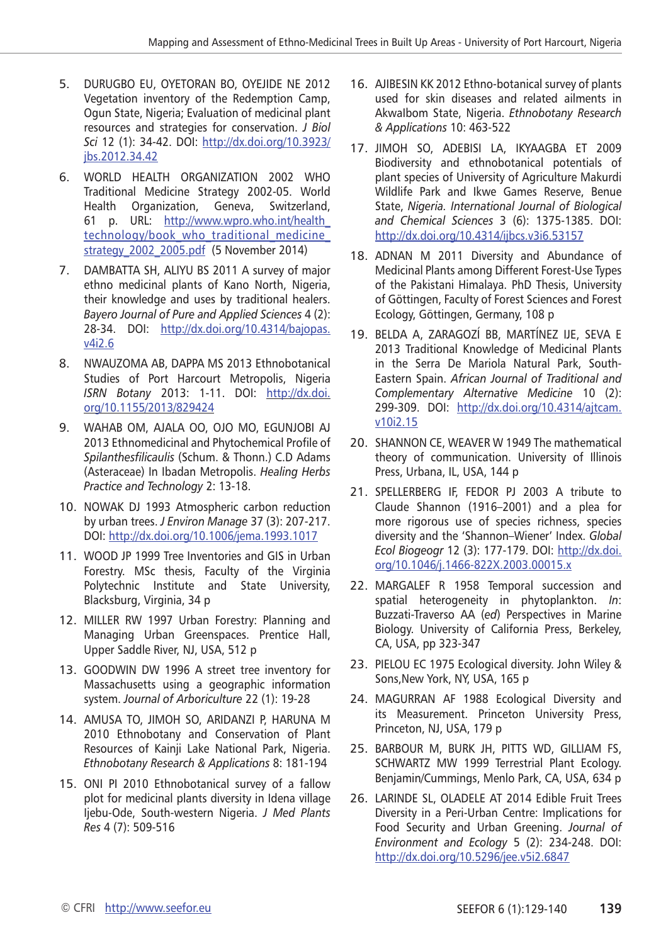- 5. DURUGBO EU, OYETORAN BO, OYEJIDE NE 2012 Vegetation inventory of the Redemption Camp, Ogun State, Nigeria; Evaluation of medicinal plant resources and strategies for conservation. *J Biol Sci* 12 (1): 34-42. DOI: [http://dx.doi.org/10.3923/](http://dx.doi.org/10.3923/jbs.2012.34.42) [jbs.2012.34.42](http://dx.doi.org/10.3923/jbs.2012.34.42)
- 6. WORLD HEALTH ORGANIZATION 2002 WHO Traditional Medicine Strategy 2002-05. World Health Organization, Geneva, Switzerland, 61 p. URL: [http://www.wpro.who.int/health\\_](http://www.wpro.who.int/health_technology/book_who_traditional_medicine_strategy_2002_2005.pdf) technology/book who traditional medicine [strategy\\_2002\\_2005.pdf](http://www.wpro.who.int/health_technology/book_who_traditional_medicine_strategy_2002_2005.pdf) (5 November 2014)
- 7. DAMBATTA SH, ALIYU BS 2011 A survey of major ethno medicinal plants of Kano North, Nigeria, their knowledge and uses by traditional healers. *Bayero Journal of Pure and Applied Sciences* 4 (2): 28-34. DOI: [http://dx.doi.org/10.4314/bajopas.](http://dx.doi.org/10.4314/bajopas.v4i2.6) [v4i2.6](http://dx.doi.org/10.4314/bajopas.v4i2.6)
- 8. NWAUZOMA AB, DAPPA MS 2013 Ethnobotanical Studies of Port Harcourt Metropolis, Nigeria *ISRN Botany* 2013: 1-11. DOI: [http://dx.doi.](http://dx.doi.org/10.1155/2013/829424) [org/10.1155/2013/829424](http://dx.doi.org/10.1155/2013/829424)
- 9. WAHAB OM, AJALA OO, OJO MO, EGUNJOBI AJ 2013 Ethnomedicinal and Phytochemical Profile of *Spilanthesfilicaulis* (Schum. & Thonn.) C.D Adams (Asteraceae) In Ibadan Metropolis. *Healing Herbs Practice and Technology* 2: 13-18.
- 10. NOWAK DJ 1993 Atmospheric carbon reduction by urban trees. *J Environ Manage* 37 (3): 207-217. DOI:<http://dx.doi.org/10.1006/jema.1993.1017>
- 11. WOOD JP 1999 Tree Inventories and GIS in Urban Forestry. MSc thesis, Faculty of the Virginia Polytechnic Institute and State University, Blacksburg, Virginia, 34 p
- 12. MILLER RW 1997 Urban Forestry: Planning and Managing Urban Greenspaces. Prentice Hall, Upper Saddle River, NJ, USA, 512 p
- 13. GOODWIN DW 1996 A street tree inventory for Massachusetts using a geographic information system. *Journal of Arboriculture* 22 (1): 19-28
- 14. AMUSA TO, JIMOH SO, ARIDANZI P, HARUNA M 2010 Ethnobotany and Conservation of Plant Resources of Kainji Lake National Park, Nigeria. *Ethnobotany Research & Applications* 8: 181-194
- 15. ONI PI 2010 Ethnobotanical survey of a fallow plot for medicinal plants diversity in Idena village Ijebu-Ode, South-western Nigeria. *J Med Plants Res* 4 (7): 509-516
- 16. AJIBESIN KK 2012 Ethno-botanical survey of plants used for skin diseases and related ailments in AkwaIbom State, Nigeria. *Ethnobotany Research & Applications* 10: 463-522
- 17. JIMOH SO, ADEBISI LA, IKYAAGBA ET 2009 Biodiversity and ethnobotanical potentials of plant species of University of Agriculture Makurdi Wildlife Park and Ikwe Games Reserve, Benue State, *Nigeria. International Journal of Biological and Chemical Sciences* 3 (6): 1375-1385. DOI: <http://dx.doi.org/10.4314/ijbcs.v3i6.53157>
- 18. ADNAN M 2011 Diversity and Abundance of Medicinal Plants among Different Forest-Use Types of the Pakistani Himalaya. PhD Thesis, University of Göttingen, Faculty of Forest Sciences and Forest Ecology, Göttingen, Germany, 108 p
- 19. BELDA A, ZARAGOZÍ BB, MARTÍNEZ IJE, SEVA E 2013 Traditional Knowledge of Medicinal Plants in the Serra De Mariola Natural Park, South-Eastern Spain. *African Journal of Traditional and Complementary Alternative Medicine* 10 (2): 299-309. DOI: [http://dx.doi.org/10.4314/ajtcam.](http://dx.doi.org/10.4314/ajtcam.v10i2.15) [v10i2.15](http://dx.doi.org/10.4314/ajtcam.v10i2.15)
- 20. SHANNON CE, WEAVER W 1949 The mathematical theory of communication. University of Illinois Press, Urbana, IL, USA, 144 p
- 21. SPELLERBERG IF, FEDOR PJ 2003 A tribute to Claude Shannon (1916–2001) and a plea for more rigorous use of species richness, species diversity and the 'Shannon–Wiener' Index. *Global Ecol Biogeogr* 12 (3): 177-179. DOI: [http://dx.doi.](http://dx.doi.org/10.1046/j.1466-822X.2003.00015.x) [org/10.1046/j.1466-822X.2003.00015.x](http://dx.doi.org/10.1046/j.1466-822X.2003.00015.x)
- 22. MARGALEF R 1958 Temporal succession and spatial heterogeneity in phytoplankton. *In*: Buzzati-Traverso AA (*ed*) Perspectives in Marine Biology. University of California Press, Berkeley, CA, USA, pp 323-347
- 23. PIELOU EC 1975 Ecological diversity. John Wiley & Sons, New York, NY, USA, 165 p
- 24. MAGURRAN AF 1988 Ecological Diversity and its Measurement. Princeton University Press, Princeton, NJ, USA, 179 p
- 25. BARBOUR M, BURK JH, PITTS WD, GILLIAM FS, SCHWARTZ MW 1999 Terrestrial Plant Ecology. Benjamin/Cummings, Menlo Park, CA, USA, 634 p
- 26. LARINDE SL, OLADELE AT 2014 Edible Fruit Trees Diversity in a Peri-Urban Centre: Implications for Food Security and Urban Greening. *Journal of Environment and Ecology* 5 (2): 234-248. DOI: <http://dx.doi.org/10.5296/jee.v5i2.6847>